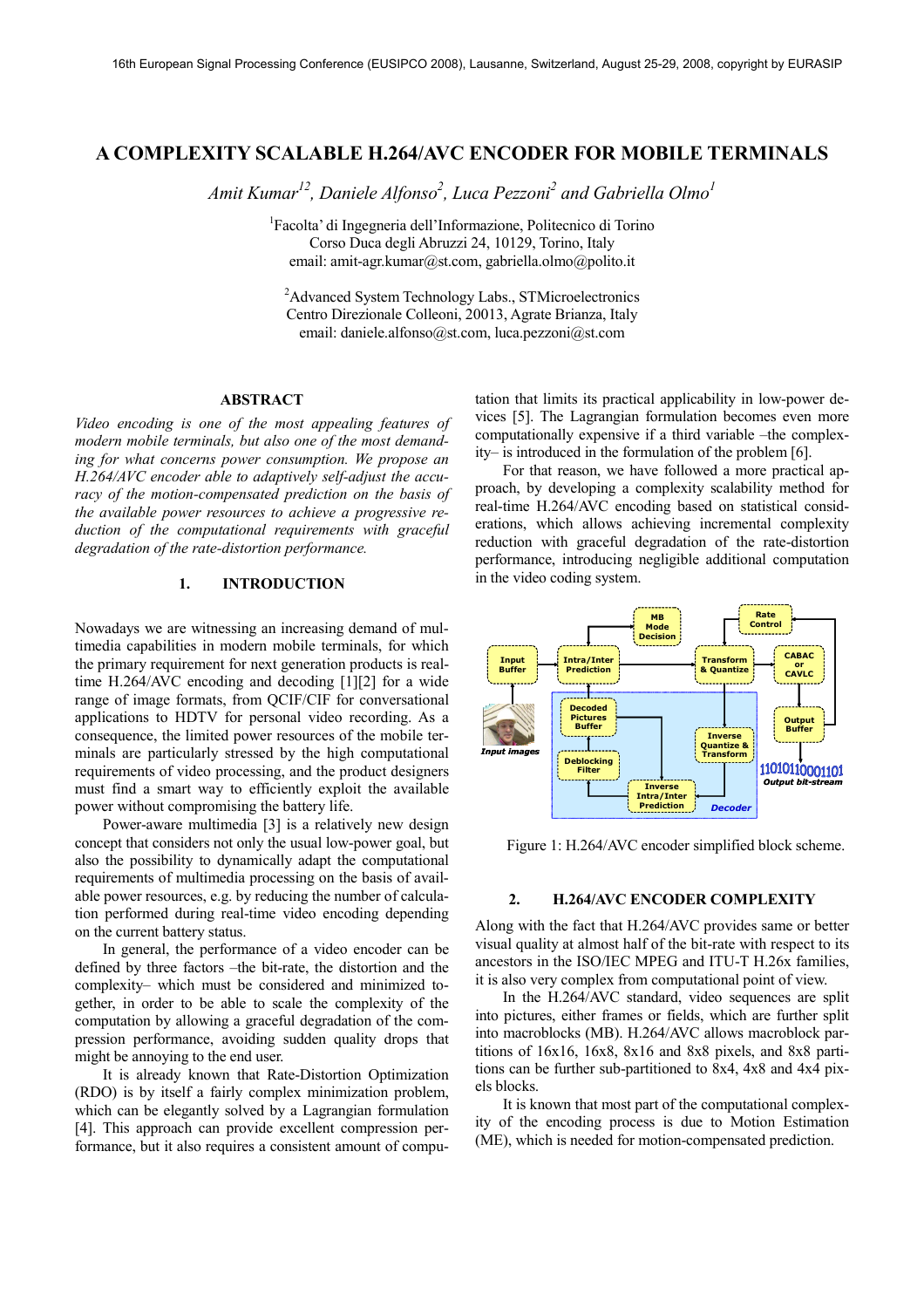# **A COMPLEXITY SCALABLE H.264/AVC ENCODER FOR MOBILE TERMINALS**

*Amit Kumar<sup>12</sup>, Daniele Alfonso<sup>2</sup> , Luca Pezzoni<sup>2</sup> and Gabriella Olmo<sup>1</sup>*

1 Facolta' di Ingegneria dell'Informazione, Politecnico di Torino Corso Duca degli Abruzzi 24, 10129, Torino, Italy email: amit-agr.kumar@st.com, gabriella.olmo@polito.it

<sup>2</sup>Advanced System Technology Labs., STMicroelectronics Centro Direzionale Colleoni, 20013, Agrate Brianza, Italy email: daniele.alfonso@st.com, luca.pezzoni@st.com

# **ABSTRACT**

*Video encoding is one of the most appealing features of modern mobile terminals, but also one of the most demanding for what concerns power consumption. We propose an H.264/AVC encoder able to adaptively self-adjust the accuracy of the motion-compensated prediction on the basis of the available power resources to achieve a progressive reduction of the computational requirements with graceful degradation of the rate-distortion performance.* 

### **1. INTRODUCTION**

Nowadays we are witnessing an increasing demand of multimedia capabilities in modern mobile terminals, for which the primary requirement for next generation products is realtime H.264/AVC encoding and decoding [1][2] for a wide range of image formats, from QCIF/CIF for conversational applications to HDTV for personal video recording. As a consequence, the limited power resources of the mobile terminals are particularly stressed by the high computational requirements of video processing, and the product designers must find a smart way to efficiently exploit the available power without compromising the battery life.

Power-aware multimedia [3] is a relatively new design concept that considers not only the usual low-power goal, but also the possibility to dynamically adapt the computational requirements of multimedia processing on the basis of available power resources, e.g. by reducing the number of calculation performed during real-time video encoding depending on the current battery status.

In general, the performance of a video encoder can be defined by three factors –the bit-rate, the distortion and the complexity– which must be considered and minimized together, in order to be able to scale the complexity of the computation by allowing a graceful degradation of the compression performance, avoiding sudden quality drops that might be annoying to the end user.

It is already known that Rate-Distortion Optimization (RDO) is by itself a fairly complex minimization problem, which can be elegantly solved by a Lagrangian formulation [4]. This approach can provide excellent compression performance, but it also requires a consistent amount of computation that limits its practical applicability in low-power devices [5]. The Lagrangian formulation becomes even more computationally expensive if a third variable –the complexity– is introduced in the formulation of the problem [6].

For that reason, we have followed a more practical approach, by developing a complexity scalability method for real-time H.264/AVC encoding based on statistical considerations, which allows achieving incremental complexity reduction with graceful degradation of the rate-distortion performance, introducing negligible additional computation in the video coding system.



Figure 1: H.264/AVC encoder simplified block scheme.

# **2. H.264/AVC ENCODER COMPLEXITY**

Along with the fact that H.264/AVC provides same or better visual quality at almost half of the bit-rate with respect to its ancestors in the ISO/IEC MPEG and ITU-T H.26x families, it is also very complex from computational point of view.

In the H.264/AVC standard, video sequences are split into pictures, either frames or fields, which are further split into macroblocks (MB). H.264/AVC allows macroblock partitions of 16x16, 16x8, 8x16 and 8x8 pixels, and 8x8 partitions can be further sub-partitioned to 8x4, 4x8 and 4x4 pixels blocks.

It is known that most part of the computational complexity of the encoding process is due to Motion Estimation (ME), which is needed for motion-compensated prediction.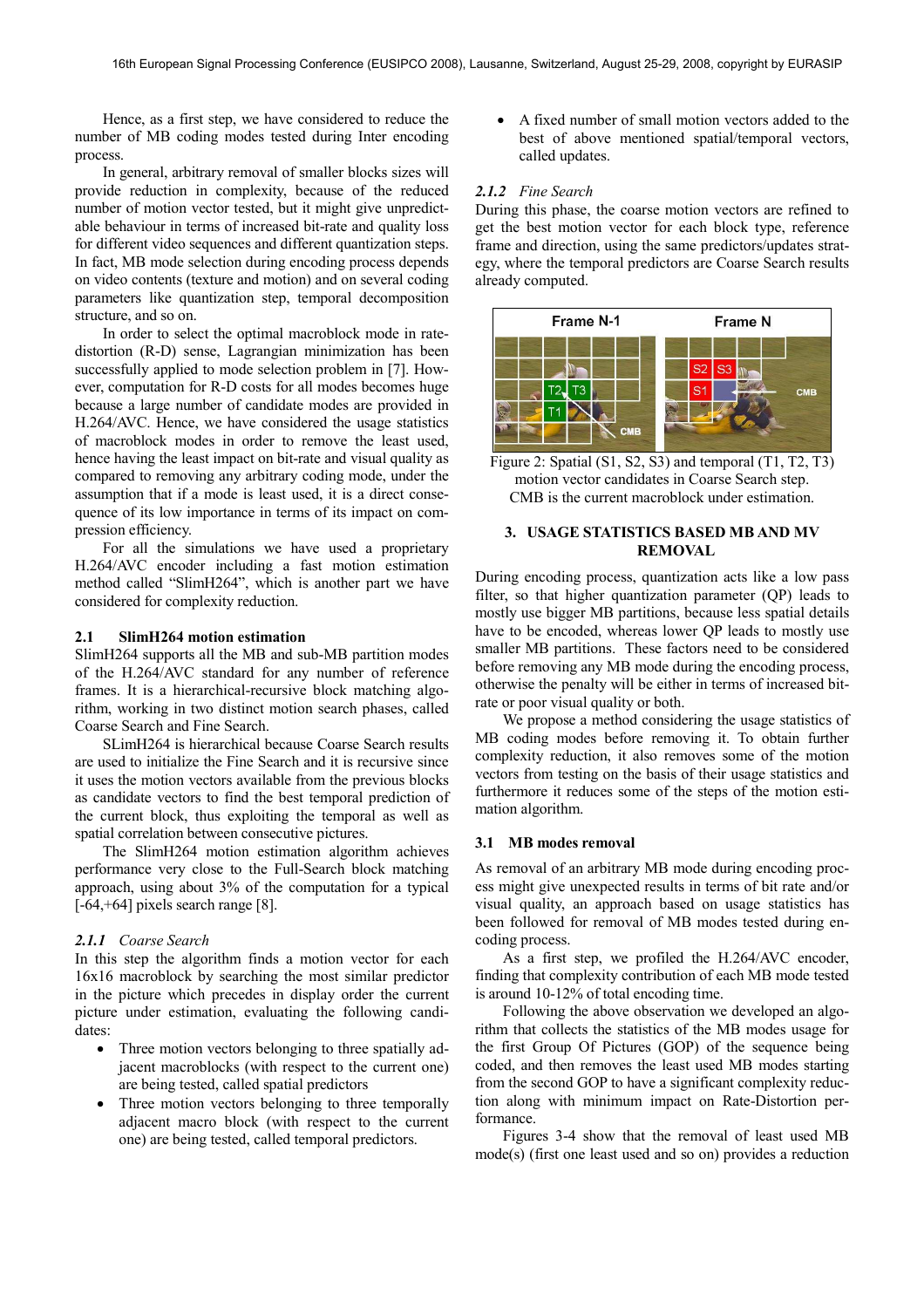Hence, as a first step, we have considered to reduce the number of MB coding modes tested during Inter encoding process.

In general, arbitrary removal of smaller blocks sizes will provide reduction in complexity, because of the reduced number of motion vector tested, but it might give unpredictable behaviour in terms of increased bit-rate and quality loss for different video sequences and different quantization steps. In fact, MB mode selection during encoding process depends on video contents (texture and motion) and on several coding parameters like quantization step, temporal decomposition structure, and so on.

In order to select the optimal macroblock mode in ratedistortion (R-D) sense, Lagrangian minimization has been successfully applied to mode selection problem in [7]. However, computation for R-D costs for all modes becomes huge because a large number of candidate modes are provided in H.264/AVC. Hence, we have considered the usage statistics of macroblock modes in order to remove the least used, hence having the least impact on bit-rate and visual quality as compared to removing any arbitrary coding mode, under the assumption that if a mode is least used, it is a direct consequence of its low importance in terms of its impact on compression efficiency.

For all the simulations we have used a proprietary H.264/AVC encoder including a fast motion estimation method called "SlimH264", which is another part we have considered for complexity reduction.

# **2.1 SlimH264 motion estimation**

SlimH264 supports all the MB and sub-MB partition modes of the H.264/AVC standard for any number of reference frames. It is a hierarchical-recursive block matching algorithm, working in two distinct motion search phases, called Coarse Search and Fine Search.

SLimH264 is hierarchical because Coarse Search results are used to initialize the Fine Search and it is recursive since it uses the motion vectors available from the previous blocks as candidate vectors to find the best temporal prediction of the current block, thus exploiting the temporal as well as spatial correlation between consecutive pictures.

The SlimH264 motion estimation algorithm achieves performance very close to the Full-Search block matching approach, using about 3% of the computation for a typical [-64,+64] pixels search range [8].

#### *2.1.1 Coarse Search*

In this step the algorithm finds a motion vector for each 16x16 macroblock by searching the most similar predictor in the picture which precedes in display order the current picture under estimation, evaluating the following candidates:

- Three motion vectors belonging to three spatially adjacent macroblocks (with respect to the current one) are being tested, called spatial predictors
- Three motion vectors belonging to three temporally adjacent macro block (with respect to the current one) are being tested, called temporal predictors.

• A fixed number of small motion vectors added to the best of above mentioned spatial/temporal vectors, called updates.

### *2.1.2 Fine Search*

During this phase, the coarse motion vectors are refined to get the best motion vector for each block type, reference frame and direction, using the same predictors/updates strategy, where the temporal predictors are Coarse Search results already computed.



Figure 2: Spatial (S1, S2, S3) and temporal (T1, T2, T3) motion vector candidates in Coarse Search step. CMB is the current macroblock under estimation.

### **3. USAGE STATISTICS BASED MB AND MV REMOVAL**

During encoding process, quantization acts like a low pass filter, so that higher quantization parameter (QP) leads to mostly use bigger MB partitions, because less spatial details have to be encoded, whereas lower QP leads to mostly use smaller MB partitions. These factors need to be considered before removing any MB mode during the encoding process, otherwise the penalty will be either in terms of increased bitrate or poor visual quality or both.

We propose a method considering the usage statistics of MB coding modes before removing it. To obtain further complexity reduction, it also removes some of the motion vectors from testing on the basis of their usage statistics and furthermore it reduces some of the steps of the motion estimation algorithm.

# **3.1 MB modes removal**

As removal of an arbitrary MB mode during encoding process might give unexpected results in terms of bit rate and/or visual quality, an approach based on usage statistics has been followed for removal of MB modes tested during encoding process.

As a first step, we profiled the H.264/AVC encoder, finding that complexity contribution of each MB mode tested is around 10-12% of total encoding time.

Following the above observation we developed an algorithm that collects the statistics of the MB modes usage for the first Group Of Pictures (GOP) of the sequence being coded, and then removes the least used MB modes starting from the second GOP to have a significant complexity reduction along with minimum impact on Rate-Distortion performance.

Figures 3-4 show that the removal of least used MB mode(s) (first one least used and so on) provides a reduction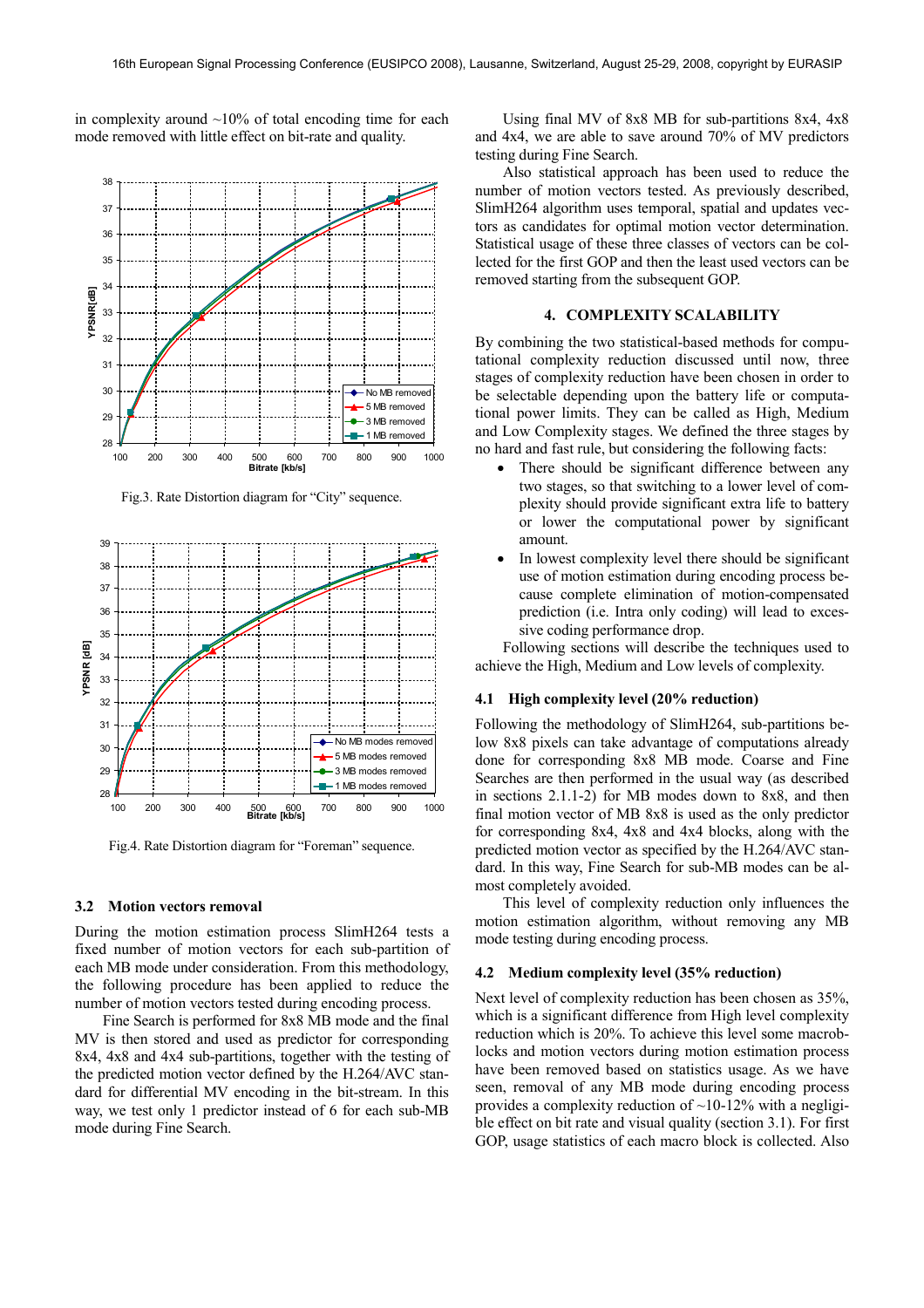in complexity around  $~10\%$  of total encoding time for each mode removed with little effect on bit-rate and quality.



Fig.3. Rate Distortion diagram for "City" sequence.



Fig.4. Rate Distortion diagram for "Foreman" sequence.

#### **3.2 Motion vectors removal**

During the motion estimation process SlimH264 tests a fixed number of motion vectors for each sub-partition of each MB mode under consideration. From this methodology, the following procedure has been applied to reduce the number of motion vectors tested during encoding process.

Fine Search is performed for 8x8 MB mode and the final MV is then stored and used as predictor for corresponding 8x4, 4x8 and 4x4 sub-partitions, together with the testing of the predicted motion vector defined by the H.264/AVC standard for differential MV encoding in the bit-stream. In this way, we test only 1 predictor instead of 6 for each sub-MB mode during Fine Search.

Using final MV of 8x8 MB for sub-partitions 8x4, 4x8 and 4x4, we are able to save around 70% of MV predictors testing during Fine Search.

Also statistical approach has been used to reduce the number of motion vectors tested. As previously described, SlimH264 algorithm uses temporal, spatial and updates vectors as candidates for optimal motion vector determination. Statistical usage of these three classes of vectors can be collected for the first GOP and then the least used vectors can be removed starting from the subsequent GOP.

# **4. COMPLEXITY SCALABILITY**

By combining the two statistical-based methods for computational complexity reduction discussed until now, three stages of complexity reduction have been chosen in order to be selectable depending upon the battery life or computational power limits. They can be called as High, Medium and Low Complexity stages. We defined the three stages by no hard and fast rule, but considering the following facts:

- There should be significant difference between any two stages, so that switching to a lower level of complexity should provide significant extra life to battery or lower the computational power by significant amount.
- In lowest complexity level there should be significant use of motion estimation during encoding process because complete elimination of motion-compensated prediction (i.e. Intra only coding) will lead to excessive coding performance drop.

Following sections will describe the techniques used to achieve the High, Medium and Low levels of complexity.

### **4.1 High complexity level (20% reduction)**

Following the methodology of SlimH264, sub-partitions below 8x8 pixels can take advantage of computations already done for corresponding 8x8 MB mode. Coarse and Fine Searches are then performed in the usual way (as described in sections 2.1.1-2) for MB modes down to 8x8, and then final motion vector of MB 8x8 is used as the only predictor for corresponding 8x4, 4x8 and 4x4 blocks, along with the predicted motion vector as specified by the H.264/AVC standard. In this way, Fine Search for sub-MB modes can be almost completely avoided.

This level of complexity reduction only influences the motion estimation algorithm, without removing any MB mode testing during encoding process.

#### **4.2 Medium complexity level (35% reduction)**

Next level of complexity reduction has been chosen as 35%, which is a significant difference from High level complexity reduction which is 20%. To achieve this level some macroblocks and motion vectors during motion estimation process have been removed based on statistics usage. As we have seen, removal of any MB mode during encoding process provides a complexity reduction of  $\sim$ 10-12% with a negligible effect on bit rate and visual quality (section 3.1). For first GOP, usage statistics of each macro block is collected. Also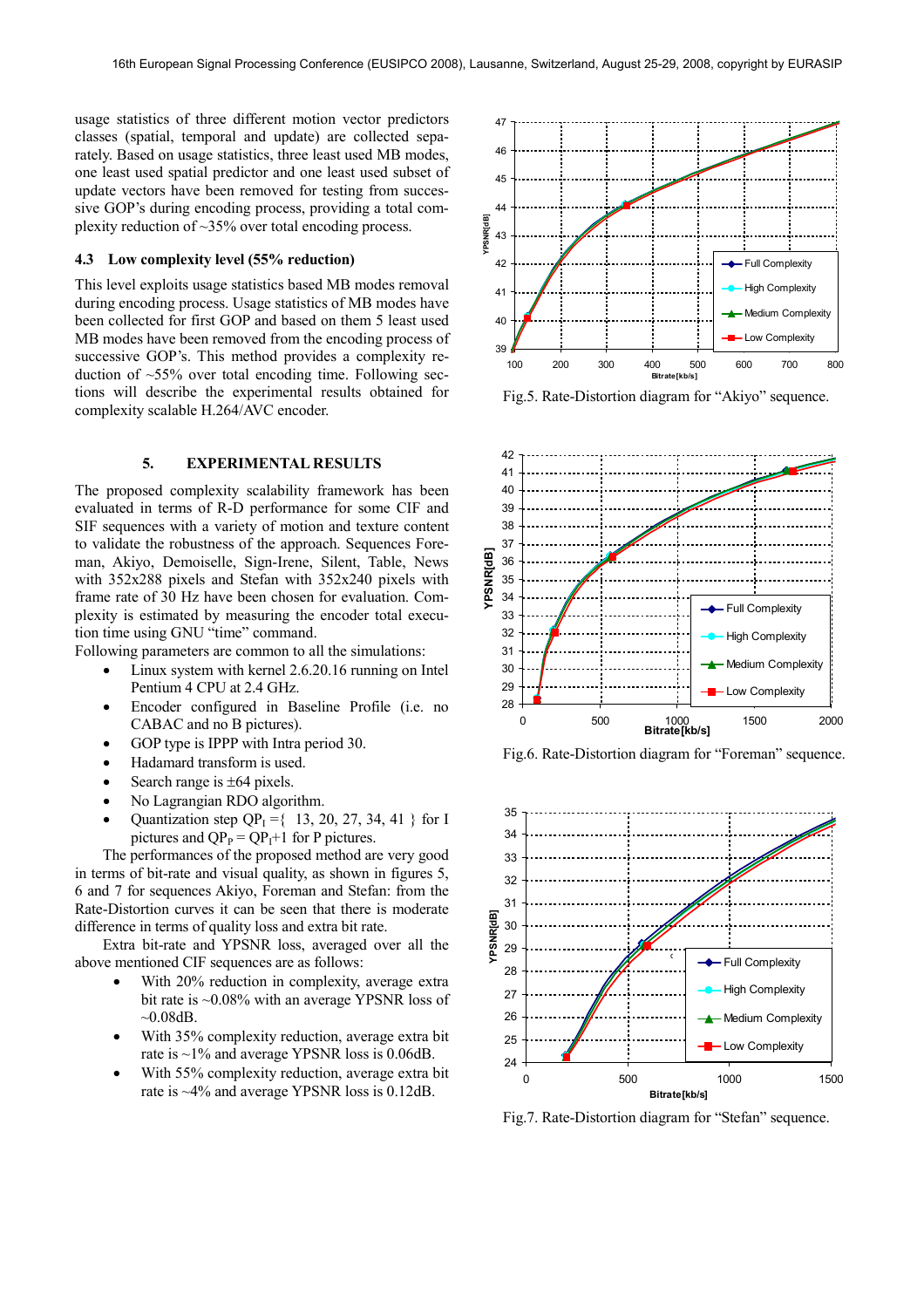usage statistics of three different motion vector predictors classes (spatial, temporal and update) are collected separately. Based on usage statistics, three least used MB modes, one least used spatial predictor and one least used subset of update vectors have been removed for testing from successive GOP's during encoding process, providing a total complexity reduction of ~35% over total encoding process.

### **4.3 Low complexity level (55% reduction)**

This level exploits usage statistics based MB modes removal during encoding process. Usage statistics of MB modes have been collected for first GOP and based on them 5 least used MB modes have been removed from the encoding process of successive GOP's. This method provides a complexity reduction of  $\sim$ 55% over total encoding time. Following sections will describe the experimental results obtained for complexity scalable H.264/AVC encoder.

# **5. EXPERIMENTAL RESULTS**

The proposed complexity scalability framework has been evaluated in terms of R-D performance for some CIF and SIF sequences with a variety of motion and texture content to validate the robustness of the approach. Sequences Foreman, Akiyo, Demoiselle, Sign-Irene, Silent, Table, News with 352x288 pixels and Stefan with 352x240 pixels with frame rate of 30 Hz have been chosen for evaluation. Complexity is estimated by measuring the encoder total execution time using GNU "time" command.

Following parameters are common to all the simulations:

- Linux system with kernel 2.6.20.16 running on Intel Pentium 4 CPU at 2.4 GHz.
- Encoder configured in Baseline Profile (i.e. no CABAC and no B pictures).
- GOP type is IPPP with Intra period 30.
- Hadamard transform is used.
- Search range is  $\pm 64$  pixels.
- No Lagrangian RDO algorithm.
- Quantization step  $QP_1 = \{ 13, 20, 27, 34, 41 \}$  for I pictures and  $QP_P = QP_I + 1$  for P pictures.

The performances of the proposed method are very good in terms of bit-rate and visual quality, as shown in figures 5, 6 and 7 for sequences Akiyo, Foreman and Stefan: from the Rate-Distortion curves it can be seen that there is moderate difference in terms of quality loss and extra bit rate.

Extra bit-rate and YPSNR loss, averaged over all the above mentioned CIF sequences are as follows:

- With 20% reduction in complexity, average extra bit rate is ~0.08% with an average YPSNR loss of  $~10.08$ dB.
- With 35% complexity reduction, average extra bit rate is ~1% and average YPSNR loss is 0.06dB.
- With 55% complexity reduction, average extra bit rate is ~4% and average YPSNR loss is 0.12dB.



Fig.5. Rate-Distortion diagram for "Akiyo" sequence.



Fig.6. Rate-Distortion diagram for "Foreman" sequence.



Fig.7. Rate-Distortion diagram for "Stefan" sequence.